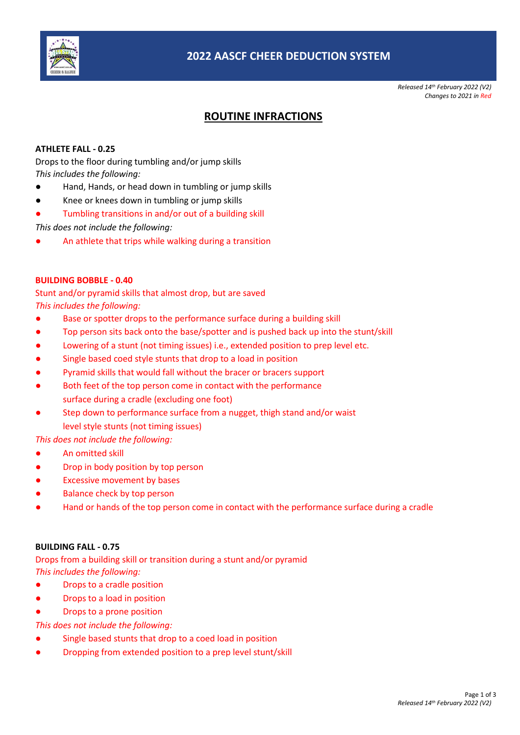

*Released 14th February 2022 (V2) Changes to 2021 in Red*

# **ROUTINE INFRACTIONS**

#### **ATHLETE FALL - 0.25**

Drops to the floor during tumbling and/or jump skills *This includes the following:*

- Hand, Hands, or head down in tumbling or jump skills
- Knee or knees down in tumbling or jump skills
- Tumbling transitions in and/or out of a building skill

*This does not include the following:*

An athlete that trips while walking during a transition

#### **BUILDING BOBBLE - 0.40**

Stunt and/or pyramid skills that almost drop, but are saved *This includes the following:*

- Base or spotter drops to the performance surface during a building skill
- Top person sits back onto the base/spotter and is pushed back up into the stunt/skill
- Lowering of a stunt (not timing issues) i.e., extended position to prep level etc.
- Single based coed style stunts that drop to a load in position
- Pyramid skills that would fall without the bracer or bracers support
- Both feet of the top person come in contact with the performance surface during a cradle (excluding one foot)
- Step down to performance surface from a nugget, thigh stand and/or waist level style stunts (not timing issues)

## *This does not include the following:*

- An omitted skill
- Drop in body position by top person
- **Excessive movement by bases**
- **Balance check by top person**
- Hand or hands of the top person come in contact with the performance surface during a cradle

#### **BUILDING FALL - 0.75**

Drops from a building skill or transition during a stunt and/or pyramid *This includes the following:*

- Drops to a cradle position
- Drops to a load in position
- Drops to a prone position

#### *This does not include the following:*

- Single based stunts that drop to a coed load in position
- Dropping from extended position to a prep level stunt/skill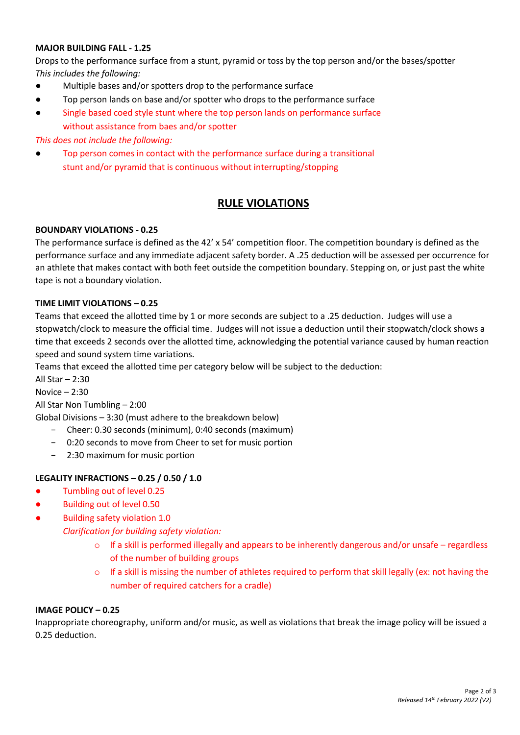#### **MAJOR BUILDING FALL - 1.25**

Drops to the performance surface from a stunt, pyramid or toss by the top person and/or the bases/spotter *This includes the following:*

- Multiple bases and/or spotters drop to the performance surface
- Top person lands on base and/or spotter who drops to the performance surface
- Single based coed style stunt where the top person lands on performance surface without assistance from baes and/or spotter

#### *This does not include the following:*

Top person comes in contact with the performance surface during a transitional stunt and/or pyramid that is continuous without interrupting/stopping

## **RULE VIOLATIONS**

#### **BOUNDARY VIOLATIONS - 0.25**

The performance surface is defined as the 42' x 54' competition floor. The competition boundary is defined as the performance surface and any immediate adjacent safety border. A .25 deduction will be assessed per occurrence for an athlete that makes contact with both feet outside the competition boundary. Stepping on, or just past the white tape is not a boundary violation.

#### **TIME LIMIT VIOLATIONS – 0.25**

Teams that exceed the allotted time by 1 or more seconds are subject to a .25 deduction. Judges will use a stopwatch/clock to measure the official time. Judges will not issue a deduction until their stopwatch/clock shows a time that exceeds 2 seconds over the allotted time, acknowledging the potential variance caused by human reaction speed and sound system time variations.

Teams that exceed the allotted time per category below will be subject to the deduction:

All Star – 2:30

Novice – 2:30

All Star Non Tumbling – 2:00

- Global Divisions 3:30 (must adhere to the breakdown below)
	- − Cheer: 0.30 seconds (minimum), 0:40 seconds (maximum)
	- − 0:20 seconds to move from Cheer to set for music portion
	- 2:30 maximum for music portion

## **LEGALITY INFRACTIONS – 0.25 / 0.50 / 1.0**

- Tumbling out of level 0.25
- Building out of level 0.50
- Building safety violation 1.0

*Clarification for building safety violation:*

- $\circ$  If a skill is performed illegally and appears to be inherently dangerous and/or unsafe regardless of the number of building groups
- $\circ$  If a skill is missing the number of athletes required to perform that skill legally (ex: not having the number of required catchers for a cradle)

## **IMAGE POLICY – 0.25**

Inappropriate choreography, uniform and/or music, as well as violations that break the image policy will be issued a 0.25 deduction.